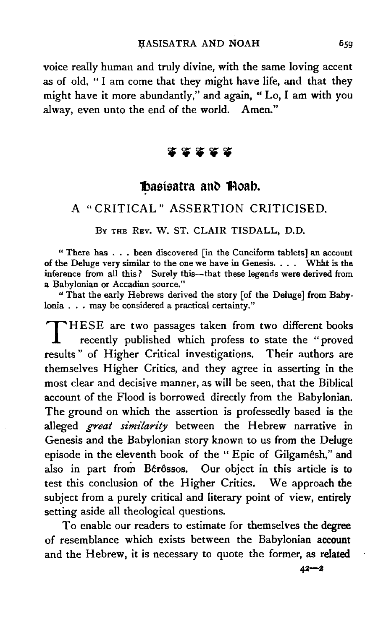voice really human and truly divine, with the same loving accent as of old, " I am come that they might have life, and that they might have it more abundantly," and again, " Lo, I am with you alway, even unto the end of the world. Amen."

## **XXXX**

## **Basisatra and Thoab.**

## A "CRITICAL" ASSERTION CRITICISED.

Bv THE REv. W. ST. CLAIR TISDALL, D.D.

"There has ..• been discovered [in the Cuneiform tablets] an account of the Deluge very similar to the one we have in Genesis. . . . What is the inference from all this? Surely this-that these legends were derived from a Babylonian or Accadian source."

" That the early Hebrews derived the story [of the Deluge] from Babylonia . . . may be considered a practical certainty."

THESE are two passages taken from two different books recently published which profess to state the "proved results" of Higher Critical investigations. Their authors are themselves Higher Critics, and they agree in asserting in the most clear and decisive manner, as will be seen, that the Biblical account of the Flood is borrowed directly from the Babylonian. The ground on which the assertion is professedly based is the alleged *great similarity* between the Hebrew narrative in Genesis and the Babylonian story known to us from the Deluge episode in the eleventh book of the "Epic of Gilgamêsh," and also in part from Bêrôssos. Our object in this article is to test this conclusion of the Higher Critics. We approach the subject from a purely critical and literary point of view, entirely setting aside all theological questions.

To enable our readers to estimate for themselves the degree of resemblance which exists between the Babylonian account and the Hebrew, it is necessary to quote the former, as related

 $42 - 2$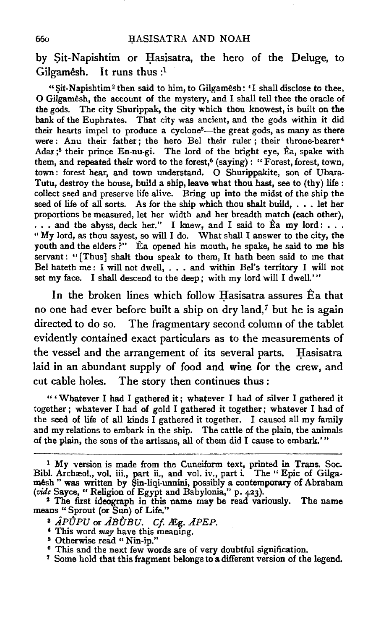by Sit-Napishtim or Hasisatra, the hero of the Deluge, to Gilgamêsh. It runs thus  $:$ <sup>1</sup>

"Sit-Napishtim<sup>2</sup> then said to him, to Gilgamesh: 'I shall disclose to thee, 0 Gilgamesh, the account of the mystery, and I shall tell thee the oracle of the gods. The city Shurippak, the city which thou knowest, is built on the bank of the Euphrates. That city was ancient, and the gods within it did their hearts impel to produce a cyclone<sup>3</sup>-the great gods, as many as there were: Anu their father; the hero Bel their ruler; their throne-bearer<sup>4</sup> Adar;<sup>5</sup> their prince En-nu-gi. The lord of the bright eye,  $\hat{E}a$ , spake with them, and repeated their word to the forest,<sup>6</sup> (saying): "Forest, forest, town, town: forest hear, and town understand. O Shurippakite, son of Ubara-Tutu, destroy the house, build a ship, leave what thou hast, see to (thy) life : collect seed and preserve life alive. Bring up into the midst of the ship the seed of life of all sorts. As for the ship which thou shalt build, . • . let her proportions be measured, let her width and her breadth match (each other),  $\ldots$  and the abyss, deck her." I knew, and I said to Éa my lord: ... "My lord, as thou sayest, so will I do. What shall I answer to the city, the youth and the elders ?" Ea opened his mouth, he spake, he said to me his servant: "[Thus] shalt thou speak to them, It hath been said to me that Bel hateth me: I will not dwell, . . . and within Bel's territory I will not set my face. I shall descend to the deep; with my lord will I dwell.'"

In the broken lines which follow Hasisatra assures  $\hat{E}$  a that no one had ever before built a ship on dry land,7 but he is again directed to do so. The fragmentary second column of the tablet evidently contained exact particulars as to the measurements of the vessel and the arrangement of its several parts. Hasisatra laid in an abundant supply of food and wine for the crew, and cut cable holes. The story then continues thus :

" ' Whatever I had I gathered it ; whatever I had of silver I gathered it together ; whatever I had of gold I gathered it together; whatever I had of the seed of life of all kinds I gathered it together. I caused all my family and my relations to embark in the ship. The cattle of the plain, the animals of the plain, the sons of the artisans, all of them did I cause to embark.' "

<sup>1</sup> My version is made from the Cuneiform text, printed in Trans. Soc. Bibl. Archæol., vol. iii., part ii., and vol. iv., part i. The "Epic of Gilgam8sh " was written by Sin-liqi-unnini, possibly a contemporary of Abraham *(vide* Sayce, "Religion of Egypt and Babylonia," p. 423).<br><sup>2</sup> The first ideograph in this name may be read variously. The name

means "Sprout (or Sun) of Life."

<sup>&</sup>lt;sup>8</sup> *APUPU* or *ABUBU.* Cf. *Eg. APEP.* <br><sup>4</sup> This word *may* have this meaning.<br><sup>5</sup> Otherwise read "Nin-ip."

<sup>&</sup>lt;sup>6</sup> This and the next few words are of very doubtful signification.

<sup>&</sup>lt;sup>7</sup> Some hold that this fragment belongs to a different version of the legend.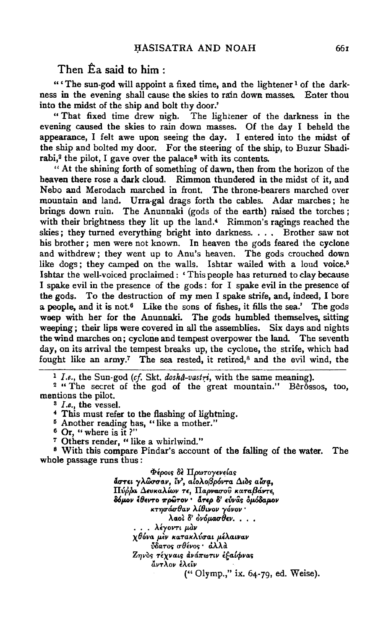#### Then  $\hat{E}$ a said to him :

" 'The sun-god will appoint a fixed time, and the lightener<sup>1</sup> of the darkness in the evening shall cause the skies to rain down masses. Enter thou into the midst of the ship and bolt thy door.'

" That fixed time drew nigh. The lightener of the darkness in the evening caused the skies to rain down masses. Of the day I beheld the appearance, I felt awe upon seeing the day. I entered into the midst of the ship and bolted my door. For the steering of the ship, to Buzur Shadirabi,<sup>2</sup> the pilot, I gave over the palace<sup>8</sup> with its contents.

" At the shining forth of something of dawn, then from the horizon of the heaven there rose a dark cloud. Rimmon thundered in the midst of it, and Nebo and Merodach marched in front. The throne-bearers marched over mountain and land. Urra-gal drags forth the cables. Adar marches; he brings down ruin. The Anunnaki (gods of the earth) raised the torches; with their brightness they lit up the land.<sup>4</sup> Rimmon's ragings reached the skies; they turned everything bright into darkness.  $\ldots$  Brother saw not his brother ; men were not known. In heaven the gods feared the cyclone and withdrew; they went up to Ann's heaven. The gods crouched down like dogs; they camped on the walls. Ishtar wailed with a loud voice.<sup>5</sup> Ishtar the well-voiced proclaimed: 'This people has returned to clay because I spake evil in the presence of the gods : for I spake evil in the presence of the gods. To the destruction of my men I spake strife, and, indeed, I bore a people, and it is not.<sup>6</sup> Like the sons of fishes, it fills the sea.' The gods weep with her for the Anunnaki. The gods humbled themselves, sitting weeping; their lips were covered in all the assemblies. Six days and nights the wind marches on; cyclone and tempest overpower the land. The seventh day, on its arrival the tempest breaks up, the cyclone, the strife, which had fought like an army.<sup>7</sup> The sea rested, it retired,<sup>8</sup> and the evil wind, the

<sup>1</sup>*I.e.,* the Sun-god *(cf.* Skt. *dosha-vastri,* with the same meaning).

<sup>2</sup> " The secret of the god of the great mountain." Berossos, too, mentions the pilot.

s *I.e.,* the vessel.

4 This must refer to the flashing of lightning.

<sup>5</sup> Another reading has, "like a mother."

<sup>6</sup>Or, " where is it ?"

<sup>7</sup> Others render, "like a whirlwind."

3 With this compare Pindar's account of the falling of the water. The whole passage runs thus :

> époιs δè Πρωτογενείαs<br>**ãστει γλώσσαν, ϊν', aίολοβρόντα Διòs aἴσα,**  $\Pi$ ύρρα Δευκαλίων τε, Παρνασού καταβάντε, *BOp.ov l9eVTo 1rpG!Tov* • *d.np* 8' W-vcis *&p.&aap.ov KT7JUM8av J..t8wov y6vov* • λαοὶ δ' ὀνόμασθεν. . . .<br>λέγοντι μαν *χθόνα μεν κατακλύσαι μέλαιναν Vδατος σθένος • άλλα* **Zηνος τέχναις ανάπωτιν εξαίφνας** avTAOV EAE£v (" Olymp.," ix. 64-79, ed. Weise).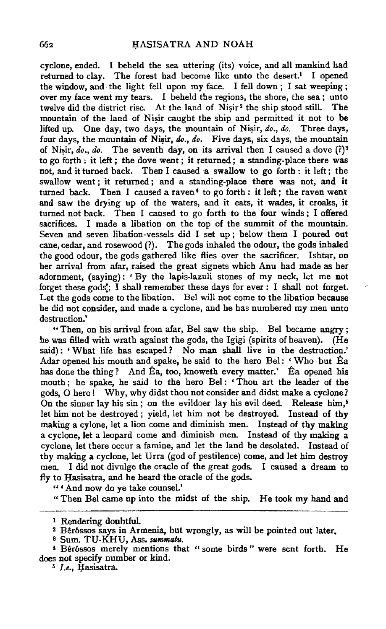cyclone, ended. I beheld the sea uttering (its) voice, and all mankind bad returned to clay. The forest had become like unto the desert.<sup>1</sup> I opened the window, and the light fell upon my face. I fell down ; I sat weeping ; over my face went my tears. I beheld the regions, the shore, the sea ; unto twelve did the district rise. At the land of  $Nisir^2$  the ship stood still. The mountain of the land of Nisir caught the ship and permitted it not to be lifted up. One day, two days, the mountain of Nisir, *do., do.* Three days, four days, the mountain of Nisir, do., do. Five days, six days, the mountain of Nisir,  $do.$ ,  $do.$  The seventh day, on its arrival then I caused a dove  $(?)^3$ to go forth: it left; the dove went; it returned; a standing-place there was not, and it turned back. Then I caused a swallow to go forth : it left ; the swallow went ; it returned ; and a standing-place there was not, and it turned back. Then I caused a raven<sup>4</sup> to go forth : it left ; the raven went and saw the drying up of the waters, and it eats, it wades, it croaks, it turned not back. Then I caused to go forth to the four winds ; I offered sacrifices. I made a libation on the top of the summit of the mountain. Seven and seven libation-vessels did I set up; below them I poured out cane, cedar, and rosewood (?). The gods inhaled the odour, the gods inhaled the good odour, the gods gathered like flies over the sacrificer. Ishtar, on her arrival from afar, raised the great signets which Anu had made as her adornment, (saying): 'By the lapis-lazuli stones of my neck, let me not forget these gods!; I shall remember these days for ever : I shall not forget. Let the gods come to the libation. Bel will not come to the libation because he did not consider, and made a cyclone, and be bas numbered my men unto destruction.'

"Then, on his arrival from afar, Bel saw the ship. Bel became angry ; he was filled with wrath against the gods, the Igigi (spirits of heaven). (He said): 'What life has escaped? No man shall live in the destruction.' Adar opened his mouth and spake, he said to the hero Bel: 'Who but  $\hat{E}a$ has done the thing? And Êa, too, knoweth every matter.' Ea opened his mouth ; he spake, he said to the hero Bel : ' Thou art the leader of the gods,  $O$  hero! Why, why didst thou not consider and didst make a cyclone? On the sinner lay his sin; on the evildoer lay his evil deed. Release him,<sup> $5$ </sup> let him not be destroyed ; yield, let him not be destroyed. Instead of thy making a cylone, let a lion come and diminish men. Instead of thy making a cyclone, let a leopard come and diminish men. Instead of thy making a cyclone, let there occur a famine, and let the land be desolated. Instead of thy making a cyclone, let Urra (god of pestilence) come, and let him destroy men. I did not divulge the oracle of the great gods. I caused a dream to fly to Hasisatra, and he heard the oracle of the gods.

"'And now do ye take counsel.'

" Then Bel came up into the midst of the ship. He took my hand and

<sup>&</sup>lt;sup>1</sup> Rendering doubtful.<br><sup>2</sup> Bêrôssos says in Armenia, but wrongly, as will be pointed out later.

s Sum. TU-KHU, Ass. *summatu.* 

<sup>&#</sup>x27; Ber6ssos merely mentions that " some birds " were sent forth. He does not specify number or kind.<br><sup>5</sup> *I.e.*, *Hasisatra*.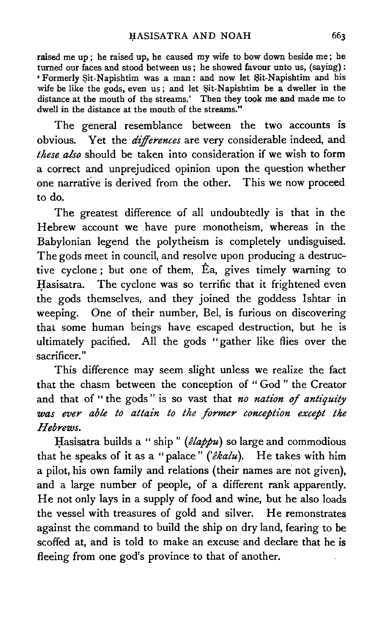raised me up ; he raised up, he caused my wife to bow down beside me ; he turned our faces and stood between us; he showed favour unto us, (saying): 'Formerly \$it-Napishtim was a man: and now let Sit-Napishtim and his wife be like the gods, even us; and let Sit-Napishtim be a dweller in the distance at the mouth of the streams.' Then they took me and made me to dwell in the distance at the mouth of the streams."

The general resemblance between the two accounts is obvious. Yet the *differences* are very considerable indeed, and *these also* should be taken into consideration if we wish to form a correct and unprejudiced opinion upon the question whether one narrative is derived from the other. This we now proceed to do.

The greatest difference of all undoubtedly is that in the Hebrew account we .have pure monotheism, whereas in the Babylonian legend the polytheism is completely undisguised. The gods meet in council, and resolve upon producing a destructive cyclone; but one of them, Ea, gives timely warning to Hasisatra. The cyclone was so terrific that it frightened even the gods themselves, and they joined the goddess lshtar in weeping. One of their number, Bel, is furious on discovering that some human beings have escaped destruction, but he is ultimately pacified. All the gods "gather like flies over the sacrificer."

This difference may seem slight unless we realize the fact that the chasm between the conception of " God " the Creator and that of " the gods" is so vast that *no nation of antiquity* was ever able to attain to the former conception except the *Hebrews.* 

Hasisatra builds a "ship" (êlappu) so large and commodious that he speaks of it as a "palace" *('ekalu).* He takes with him a pilot, his own family and relations (their names are not given), and a large number of people, of a different rank apparently. He not only lays in a supply of food and wine, but he also loads the vessel with treasures of gold and silver. He remonstrates against the command to build the ship on dry land, fearing to be scoffed at, and is told to make an excuse and declare that he is fleeing from one god's province to that of another.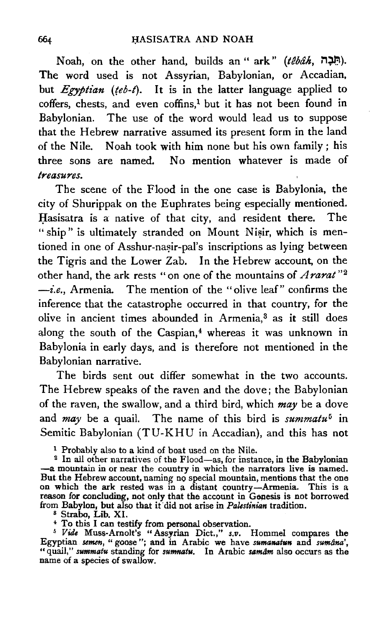Noah, on the other hand, builds an " ark" (tebah, חָבָה,). The word used is not Assyrian, Babylonian, or Accadian, but *Egyptian (teb-t)*. It is in the latter language applied to  $coffers$ , chests, and even  $coffins<sup>1</sup>$  but it has not been found in Babylonian. The use of the word would lead us to suppose that the Hebrew narrative assumed its present form in the land of the Nile. Noah took with him none but his own family; his three sons are named. No mention whatever is made of *treasures.* 

The scene of the Flood in the one case is Babylonia, the city of Shurippak on the Euphrates being especially mentioned. Hasisatra is a native of that city, and resident there. The " ship" is ultimately stranded on Mount Nisir, which is mentioned in one of Asshur-nasir-pal's inscriptions as lying between the Tigris and the Lower Zab. In the Hebrew account, on the other hand, the ark rests "on one of the mountains of *Ararat* "2  $\rightarrow$ *i.e.*, Armenia. The mention of the "olive leaf" confirms the inference that the catastrophe occurred in that country, for the olive in ancient times abounded in Armenia,<sup>3</sup> as it still does along the south of the Caspian,<sup>4</sup> whereas it was unknown in Babylonia in early days, and is therefore not mentioned in the Babylonian narrative.

The birds sent out differ somewhat in the two accounts. The Hebrew speaks of the raven and the dove; the Babylonian of the raven, the swallow, and a third bird, which *may* be a dove and *may* be a quail. The name of this bird is *summatu*<sup>5</sup> in Semitic Babylonian (TU-KHU in Accadian), and this has not

<sup>1</sup> Probably also to a kind of boat used on the Nile.

<sup>2</sup> In all other narratives of the Flood-as, for instance, in the Babylonian -a mountain in or near the country in which the narrators live is named. But the Hebrew account, naming no special mountain, mentions that the one on which the ark rested was in a distant country-Armenia. This is a reason for concluding, not only that the account in Genesis is not borrowed

from Babylon, but also that it did not arise in *Palestinian* tradition.<br><sup>8</sup> Strabo, Lib. XI.<br><sup>4</sup> To this I can testify from personal observation.<br><sup>5</sup> *Vide* Muss-Arnolt's "Assyrian Dict.," *s.v.* Hommel compares the Egyptian *semen,* "goose"; and in Arabic we have *sumanatun* and *sum4na',*  "quail," *summatu* standing for *sumnatu.* In Arabic *samam* also occurs as the name of a species of swallow.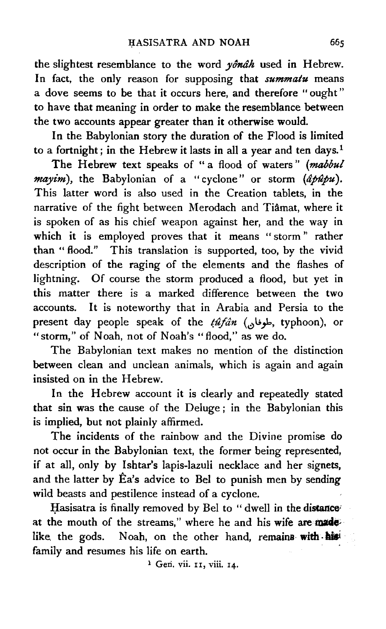the slightest resemblance to the word  $y\hat{\theta}n\hat{a}h$  used in Hebrew. In fact, the only reason for supposing that *summatu* means a dove seems to be that it occurs here, and therefore "ought" to have that meaning in order to make the resemblance between the two accounts appear greater than it otherwise would.

In the Babylonian story the duration of the Flood is limited to a fortnight; in the Hebrew it lasts in all a year and ten days.<sup>1</sup>

The Hebrew text speaks of "a flood of waters" (mabbul *mayim*), the Babylonian of a "cyclone" or storm (âpupu). This latter word is also used in the Creation tablets, in the narrative of the fight between Merodach and Tiamat, where it is spoken of as his chief weapon against her, and the way in which it is employed proves that it means "storm" rather than "flood." This translation is supported, too, by the vivid description of the raging of the elements and the flashes of lightning. Of course the storm produced a flood, but yet in this matter there is a marked difference between the two accounts. It is noteworthy that in Arabia and Persia to the present day people speak of the *tûfân* (طوفان, typhoon), or "storm," of Noah, not of Noah's "flood," as we do.

The Babylonian text makes no mention of the distinction between clean and unclean animals, which is again and again insisted on in the Hebrew.

In the Hebrew account it is clearly and repeatedly stated that sin was the cause of the Deluge ; in the Babylonian this is implied, but not plainly affirmed.

The incidents of the rainbow and the Divine promise do not occur in the Babylonian text, the former being represented, if at all, only by Ishtar's lapis-lazuli necklace and her signets, and the latter by Ea's advice to Bel to punish men by sending wild beasts and pestilence instead of a cyclone.

Hasisatra is finally removed by Bel to " dwell in the distance at the mouth of the streams," where he and his wife are made. like the gods. Noah, on the other hand, remains with his family and resumes his life on earth.

<sup>1</sup> Geri. vii. 11, viii. 14.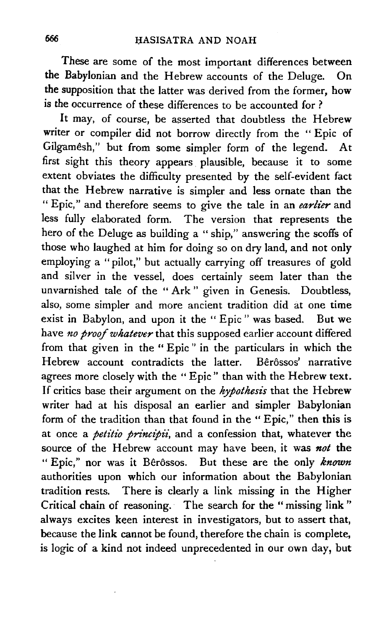These are some of the most important differences between the Babylonian and the Hebrew accounts of the Deluge. On the supposition that the latter was derived from the former, how is the occurrence of these differences to be accounted for ?

It may, of course, be asserted that doubtless the Hebrew writer or compiler did not borrow directly from the "Epic of Gilgamesh," but from some simpler form of the legend. At first sight this theory appears . plausible, because it to some extent obviates the difficulty presented by the self-evident fact that the Hebrew narrative is simpler and less ornate than the "Epic," and therefore seems to give the tale in an *earlier* and less fully elaborated form. The version that represents the hero of the Deluge as building a "ship," answering the scoffs of those who laughed at him for doing so on dry land, and not only employing a "pilot," but actually carrying off treasures of gold and silver in the vessel, does certainly seem later than the unvarnished tale of the "Ark" given in Genesis. Doubtless, also, some simpler and more ancient tradition did at one time exist in Babylon, and upon it the "Epic" was based. But we have *no proof whatever* that this supposed earlier account differed from that given in the "Epic" in the particulars in which the Hebrew account contradicts the latter. Bêrôssos' narrative agrees more closely with the "Epic" than with the Hebrew text. If critics base their argument on the *hypothesis* that the Hebrew writer had at his disposal an earlier and simpler Babylonian form of the tradition than that found in the " Epic," then this is at once a *petitio principii*, and a confession that, whatever the source of the Hebrew account may have been, it was *not* the " Epic," nor was it Bêrôssos. But these are the only *known* authorities upon which our information about the Babylonian tradition rests. There is clearly a link missing in the Higher Critical chain of reasoning. The search for the "missing link" always excites keen interest in investigators, but to assert that, because the link cannot be found, therefore the chain is complete, is logic of a kind not indeed unprecedented in our own day, but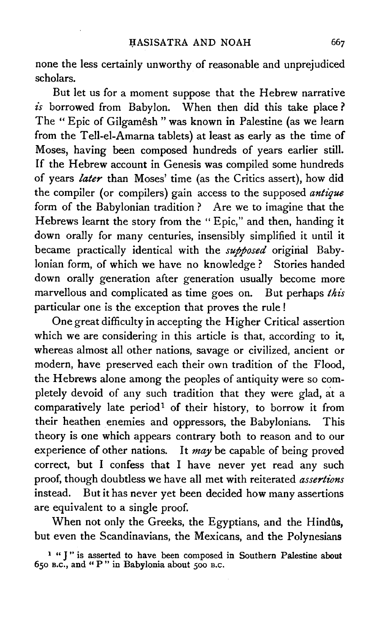none the less certainly unworthy of reasonable and unprejudiced scholars.

But let us for a moment suppose that the Hebrew narrative *is* borrowed from Babylon. When then did this take place ? The "Epic of Gilgamêsh "was known in Palestine (as we learn from the Tell-el-Amarna tablets) at least as early as the time of Moses, having been composed hundreds of years earlier still. If the Hebrew account in Genesis was compiled some hundreds of years *later* than Moses' time (as the Critics assert), how did the compiler (or compilers) gain access to the supposed *antique*  form of the Babylonian tradition ? Are we to imagine that the Hebrews learnt the story from the "Epic," and then, handing it down orally for many centuries, insensibly simplified it until it became practically identical with the *supposed* original Babylonian form, of which we have no knowledge ? Stories handed down orally generation after generation usually become more marvellous and complicated as time goes on. But perhaps *this* particular one is the exception that proves the rule !

One great difficulty in accepting the Higher Critical assertion which we are considering in this article is that, according to it, whereas almost all other nations, savage or civilized, ancient or modern, have preserved each their own tradition of the Flood, the Hebrews alone among the peoples of antiquity were so completely devoid of any such tradition that they were glad, at a comparatively late period<sup>1</sup> of their history, to borrow it from their heathen enemies and oppressors, the Babylonians. This theory is one which appears contrary both to reason and to our experience of other nations. It *may* be capable of being proved correct, but I confess that I have never yet read any such proof, though doubtless we have all met with reiterated *assertions* instead. But it has never yet been decided how many assertions are equivalent to a single proof.

When not only the Greeks, the Egyptians, and the Hindûs, but even the Scandinavians, the Mexicans, and the Polynesians

<sup>&</sup>lt;sup>1</sup> "J" is asserted to have been composed in Southern Palestine about *650* B.c., and " P" in Babylonia about *soo* B.c.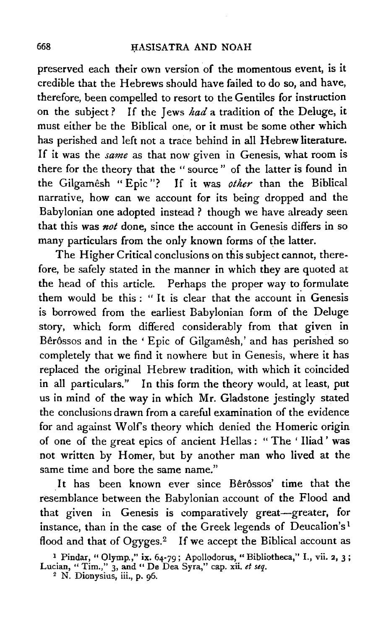preserved each their own version of the momentous event, is it credible that the Hebrews should have failed to do so, and have, therefore, been compelled to resort to the Gentiles for instruction on the subject ? If the Jews *had* a tradition of the Deluge, it must either be the Biblical one, or it must be some other which has perished and left not a trace behind in all Hebrew literature. If it was the *same* as that now given in Genesis, what room is there for the theory that the " source " of the latter is found in the Gilgamesh "Epic"? If it was *other* than the Biblical narrative, how can we account for its being dropped and the Babylonian one adopted instead ? though we have already seen that this was *not* done, since the account in Genesis differs in so many particulars from the only known forms of the latter.

The Higher Critical conclusions on this subject cannot, therefore, be safely stated in the manner in which they are quoted at the head of this article. Perhaps the proper way to formulate them would be this : " It is clear that the account in Genesis is borrowed from the earliest Babylonian form of the Deluge story, which form differed considerably from that given in Bêrôssos and in the 'Epic of Gilgamêsh,' and has perished so completely that we find it nowhere but in Genesis, where it has replaced the original Hebrew tradition, with which it coincided in all particulars." In this form the theory would, at least, put us in mind of the way in which Mr. Gladstone jestingly stated the conclusions drawn from a careful examination of the evidence for and against Wolfs theory which denied the Homeric origin of one of the great epics of ancient Hellas : "The 'Iliad' was not written by Homer, but by another man who lived at the same time and bore the same name."

It has been known ever since Bêrôssos' time that the resemblance between the Babylonian account of the Flood and that given in Genesis is comparatively great-greater, for instance, than in the case of the Greek legends of Deucalion's<sup>1</sup> flood and that of Ogyges.<sup>2</sup> If we accept the Biblical account as

<sup>&</sup>lt;sup>1</sup> Pindar, "Olymp.," ix. 64-79; Apollodorus, "Bibliotheca," I., vii. 2, 3; Lucian, "Tim.," 3, and "De Dea Syra," cap. xii. *et seq.* <sup>2</sup> N. Dionysius, iii., p. 96.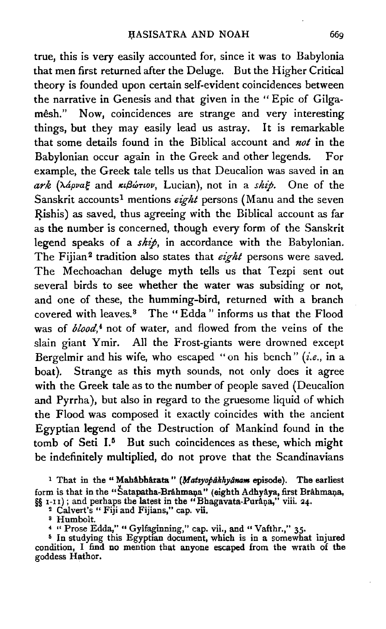true, this is very easily accounted for, since it was to Babylonia that men first returned after the Deluge. But the Higher Critical theory is founded upon certain self-evident coincidences between the narrative in Genesis and that given in the "Epic of Gilgamêsh." Now, coincidences are strange and very interesting things, but they may easily lead us astray. It is remarkable that some details found in the Biblical account and *not* in the Babylonian occur again in the Greek and other legends. For example, the Greek tale tells us that Deucalion was saved in an *ark. (XapvaE* and *Kt{Jc:mov,* Lucian), not in a *ship.* One of the Sanskrit accounts<sup>1</sup> mentions *eight* persons (Manu and the seven Rishis) as saved, thus agreeing with the Biblical account as far as the number is concerned, though every form of the Sanskrit legend speaks of a *ship,* in accordance with the Babylonian. The Fijian<sup>2</sup> tradition also states that *eight* persons were saved. The Mechoachan deluge myth tells us that Tezpi sent out several birds to see whether the water was subsiding or not, and one of these, the humming-bird, returned with a branch covered with leaves.8 The "Edda" informs us that the Flood was of *blood*,<sup>4</sup> not of water, and flowed from the veins of the slain giant Ymir. All the Frost-giants were drowned except Bergelmir and his wife, who escaped "on his bench" *(i.e.,* in a boat). Strange as this myth sounds, not only does it agree with the Greek tale as to the number of people saved (Deucalion and Pyrrha), but also in regard to the gruesome liquid of which the Flood was composed it exactly coincides with the ancient Egyptian legend of the Destruction of Mankind found in the tomb of Seti  $I<sup>5</sup>$  But such coincidences as these, which might be indefinitely multiplied, do not prove that the Scandinavians

<sup>1</sup> That in the "Mahabharata" (Matsyopakhyanam episode). The earliest form is that in the "Satapatha-Brâhmana" (eighth Adhyâya, first Brâhmana, §§ 1-11); and perhaps the latest in the "Bhagavata-PurAna," viii. 24. <sup>2</sup> Calvert's " Fiji and Fijians," cap. vii.

s Humbolt.

4 " Prose Edda," "Gylfaginning," cap. vii., and "Vafthr.," 35·

<sup>5</sup> In studying this Egyptian document, which is in a somewhat injured condition, I find no mention that anyone escaped from the wrath of the goddess Hathor.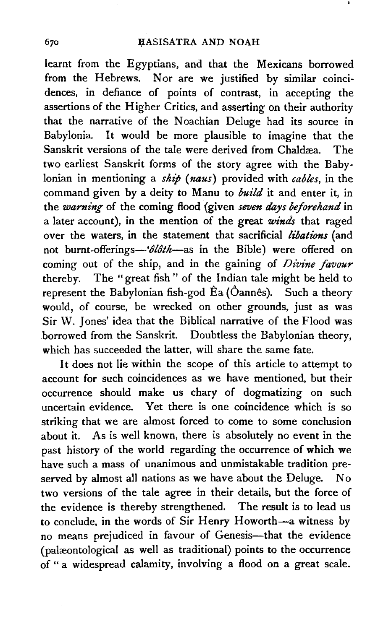learnt from the Egyptians, and that the Mexicans borrowed from the Hebrews. Nor are we justified by similar coinci· dences, in defiance of points of contrast, in accepting the assertions of the Higher Critics, and asserting on their authority that the narrative of the Noachian Deluge had its source in Babylonia. It would be more plausible to imagine that the Sanskrit versions of the tale were derived from Chaldæa. The two earliest Sanskrit forms of the story agree with the Babylonian in mentioning a *sht'p* ( *naus)* provided with *cables,* in the command given by a deity to Manu to *build* it and enter it, in the *warning* of the coming flood (given *seven days beforehand* in a later account), in the mention of the great *winds* that raged over the waters, in the statement that sacrificial *libations* (and not burnt-offerings- $-\frac{\partial \hat{\theta}}{\partial t}$  as in the Bible) were offered on coming out of the ship, and in the gaining of *Divine favour* thereby. The "great fish" of the Indian tale might be held to represent the Babylonian fish-god  $\hat{E}$ a ( $\hat{O}$ annês). Such a theory would, of course, be wrecked on other grounds, just as was Sir W. Jones' idea that the Biblical narrative of the Flood was .borrowed from the Sanskrit. Doubtless the Babylonian theory, which has succeeded the latter, will share the same fate.

It does not lie within the scope of this article to attempt to account for such coincidences as we have mentioned, but their occurrence should make us chary of dogmatizing on such uncertain evidence. Yet there is one coincidence which is so striking that we are almost forced to come to some conclusion about it. As is well known, there is absolutely no event in the past history of the world regarding the occurrence of which we have such a mass of unanimous and unmistakable tradition preserved by almost all nations as we have about the Deluge. No two versions of the tale agree in their details, but the force of the evidence is thereby strengthened. The result is to lead us to conclude, in the words of Sir Henry Howorth-a witness by no means prejudiced in favour of Genesis-that the evidence (palæontological as well as traditional) points to the occurrence of " a widespread calamity, involving a flood on a great scale.